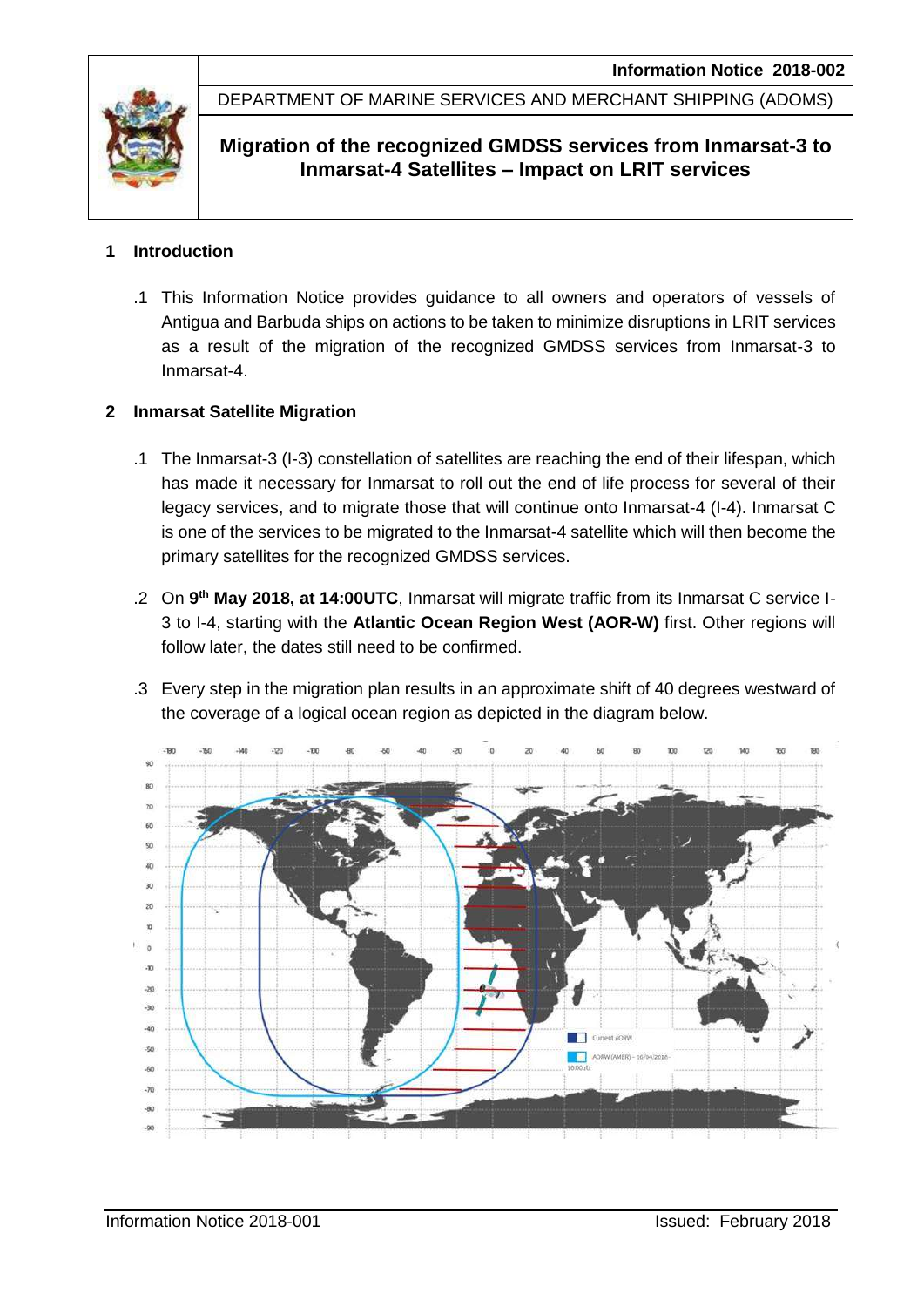

DEPARTMENT OF MARINE SERVICES AND MERCHANT SHIPPING (ADOMS)

# **Migration of the recognized GMDSS services from Inmarsat-3 to Inmarsat-4 Satellites – Impact on LRIT services**

# **1 Introduction**

.1 This Information Notice provides guidance to all owners and operators of vessels of Antigua and Barbuda ships on actions to be taken to minimize disruptions in LRIT services as a result of the migration of the recognized GMDSS services from Inmarsat-3 to Inmarsat-4.

# **2 Inmarsat Satellite Migration**

- .1 The Inmarsat-3 (I-3) constellation of satellites are reaching the end of their lifespan, which has made it necessary for Inmarsat to roll out the end of life process for several of their legacy services, and to migrate those that will continue onto Inmarsat-4 (I-4). Inmarsat C is one of the services to be migrated to the Inmarsat-4 satellite which will then become the primary satellites for the recognized GMDSS services.
- .2 On **9 th May 2018, at 14:00UTC**, Inmarsat will migrate traffic from its Inmarsat C service I-3 to I-4, starting with the **Atlantic Ocean Region West (AOR-W)** first. Other regions will follow later, the dates still need to be confirmed.
- .3 Every step in the migration plan results in an approximate shift of 40 degrees westward of the coverage of a logical ocean region as depicted in the diagram below.